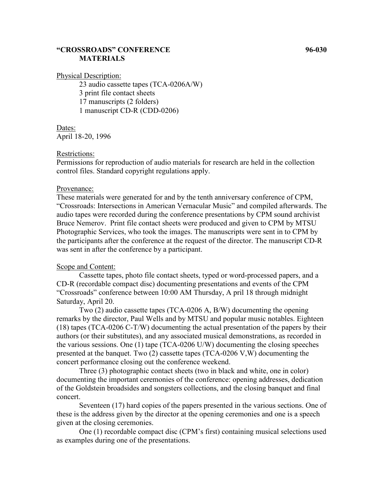## **"CROSSROADS" CONFERENCE 96-030 MATERIALS**

Physical Description:

23 audio cassette tapes (TCA-0206A/W) 3 print file contact sheets 17 manuscripts (2 folders) 1 manuscript CD-R (CDD-0206)

Dates: April 18-20, 1996

### Restrictions:

Permissions for reproduction of audio materials for research are held in the collection control files. Standard copyright regulations apply.

### Provenance:

These materials were generated for and by the tenth anniversary conference of CPM, "Crossroads: Intersections in American Vernacular Music" and compiled afterwards. The audio tapes were recorded during the conference presentations by CPM sound archivist Bruce Nemerov. Print file contact sheets were produced and given to CPM by MTSU Photographic Services, who took the images. The manuscripts were sent in to CPM by the participants after the conference at the request of the director. The manuscript CD-R was sent in after the conference by a participant.

#### Scope and Content:

Cassette tapes, photo file contact sheets, typed or word-processed papers, and a CD-R (recordable compact disc) documenting presentations and events of the CPM "Crossroads" conference between 10:00 AM Thursday, A pril 18 through midnight Saturday, April 20.

Two (2) audio cassette tapes (TCA-0206 A, B/W) documenting the opening remarks by the director, Paul Wells and by MTSU and popular music notables. Eighteen (18) tapes (TCA-0206 C-T/W) documenting the actual presentation of the papers by their authors (or their substitutes), and any associated musical demonstrations, as recorded in the various sessions. One (1) tape (TCA-0206 U/W) documenting the closing speeches presented at the banquet. Two (2) cassette tapes (TCA-0206 V,W) documenting the concert performance closing out the conference weekend.

Three (3) photographic contact sheets (two in black and white, one in color) documenting the important ceremonies of the conference: opening addresses, dedication of the Goldstein broadsides and songsters collections, and the closing banquet and final concert.

Seventeen (17) hard copies of the papers presented in the various sections. One of these is the address given by the director at the opening ceremonies and one is a speech given at the closing ceremonies.

One (1) recordable compact disc (CPM's first) containing musical selections used as examples during one of the presentations.